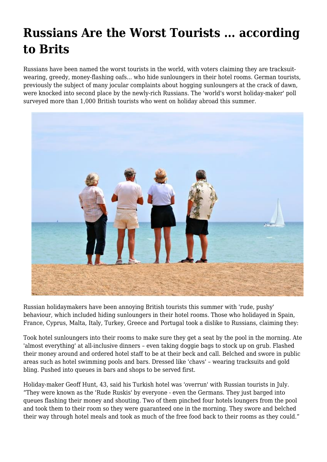## **Russians Are the Worst Tourists ... according to Brits**

Russians have been named the worst tourists in the world, with voters claiming they are tracksuitwearing, greedy, money-flashing oafs... who hide sunloungers in their hotel rooms. German tourists, previously the subject of many jocular complaints about hogging sunloungers at the crack of dawn, were knocked into second place by the newly-rich Russians. The 'world's worst holiday-maker' poll surveyed more than 1,000 British tourists who went on holiday abroad this summer.



Russian holidaymakers have been annoying British tourists this summer with 'rude, pushy' behaviour, which included hiding sunloungers in their hotel rooms. Those who holidayed in Spain, France, Cyprus, Malta, Italy, Turkey, Greece and Portugal took a dislike to Russians, claiming they:

Took hotel sunloungers into their rooms to make sure they get a seat by the pool in the morning. Ate 'almost everything' at all-inclusive dinners – even taking doggie bags to stock up on grub. Flashed their money around and ordered hotel staff to be at their beck and call. Belched and swore in public areas such as hotel swimming pools and bars. Dressed like 'chavs' – wearing tracksuits and gold bling. Pushed into queues in bars and shops to be served first.

Holiday-maker Geoff Hunt, 43, said his Turkish hotel was 'overrun' with Russian tourists in July. "They were known as the 'Rude Ruskis' by everyone - even the Germans. They just barged into queues flashing their money and shouting. Two of them pinched four hotels loungers from the pool and took them to their room so they were guaranteed one in the morning. They swore and belched their way through hotel meals and took as much of the free food back to their rooms as they could."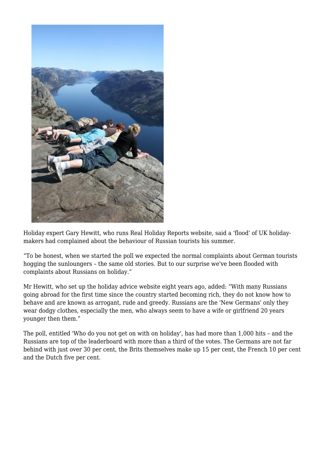

Holiday expert Gary Hewitt, who runs Real Holiday Reports website, said a 'flood' of UK holidaymakers had complained about the behaviour of Russian tourists his summer.

"To be honest, when we started the poll we expected the normal complaints about German tourists hogging the sunloungers – the same old stories. But to our surprise we've been flooded with complaints about Russians on holiday."

Mr Hewitt, who set up the holiday advice website eight years ago, added: "With many Russians going abroad for the first time since the country started becoming rich, they do not know how to behave and are known as arrogant, rude and greedy. Russians are the 'New Germans' only they wear dodgy clothes, especially the men, who always seem to have a wife or girlfriend 20 years younger then them."

The poll, entitled 'Who do you not get on with on holiday', has had more than 1,000 hits – and the Russians are top of the leaderboard with more than a third of the votes. The Germans are not far behind with just over 30 per cent, the Brits themselves make up 15 per cent, the French 10 per cent and the Dutch five per cent.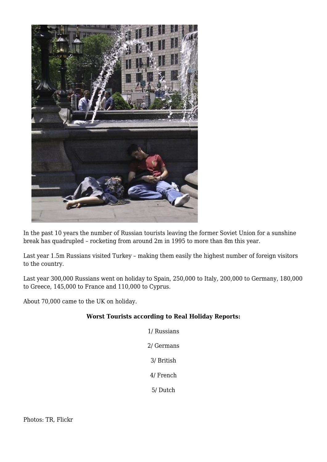

In the past 10 years the number of Russian tourists leaving the former Soviet Union for a sunshine break has quadrupled – rocketing from around 2m in 1995 to more than 8m this year.

Last year 1.5m Russians visited Turkey – making them easily the highest number of foreign visitors to the country.

Last year 300,000 Russians went on holiday to Spain, 250,000 to Italy, 200,000 to Germany, 180,000 to Greece, 145,000 to France and 110,000 to Cyprus.

About 70,000 came to the UK on holiday.

## **Worst Tourists according to Real Holiday Reports:**

1/ Russians 2/ Germans 3/ British 4/ French

5/ Dutch